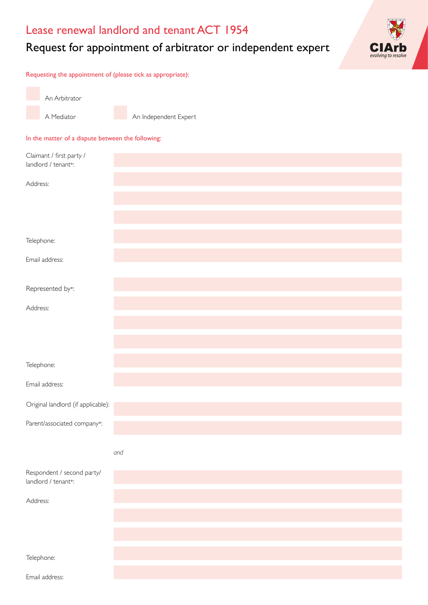# Lease renewal landlord and tenant ACT 1954

# Request for appointment of arbitrator or independent expert



Requesting the appointment of (please tick as appropriate):

An Arbitrator A Mediator

An Independent Expert

### In the matter of a dispute between the following:

| Claimant / first party /           |     |
|------------------------------------|-----|
| landlord / tenant*:                |     |
| Address:                           |     |
|                                    |     |
|                                    |     |
|                                    |     |
| Telephone:                         |     |
| Email address:                     |     |
|                                    |     |
| Represented by*:                   |     |
| Address:                           |     |
|                                    |     |
|                                    |     |
|                                    |     |
| Telephone:                         |     |
|                                    |     |
| Email address:                     |     |
| Original landlord (if applicable): |     |
| Parent/associated company*:        |     |
|                                    |     |
|                                    | and |
| Respondent / second party/         |     |
| landlord / tenant*:                |     |
| Address:                           |     |
|                                    |     |
|                                    |     |
|                                    |     |
| Telephone:                         |     |
| Email address:                     |     |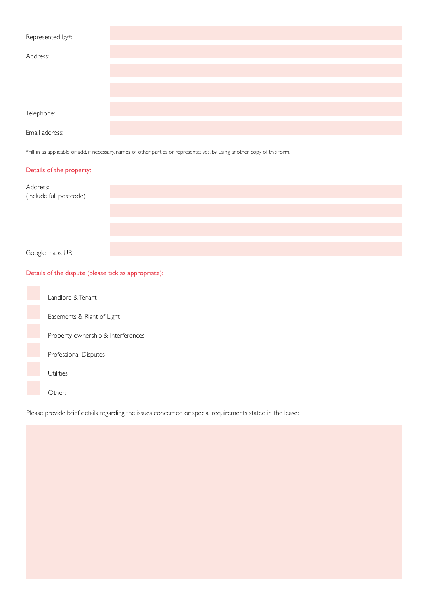| Represented by*: |  |  |
|------------------|--|--|
| Address:         |  |  |
|                  |  |  |
|                  |  |  |
| Telephone:       |  |  |
| Email address:   |  |  |

\*Fill in as applicable or add, if necessary, names of other parties or representatives, by using another copy of this form.

# Details of the property:

| Address:<br>(include full postcode) |  |  |
|-------------------------------------|--|--|
|                                     |  |  |
|                                     |  |  |
| Google maps URL                     |  |  |

# Details of the dispute (please tick as appropriate):

| Landlord & Tenant                  |
|------------------------------------|
| Easements & Right of Light         |
| Property ownership & Interferences |
| Professional Disputes              |
| Utilities                          |
| Other:                             |

Please provide brief details regarding the issues concerned or special requirements stated in the lease: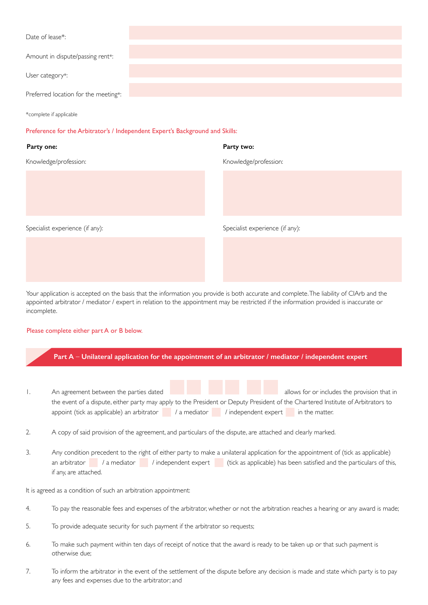| Date of lease*:                      |  |
|--------------------------------------|--|
| Amount in dispute/passing rent*:     |  |
|                                      |  |
| User category*:                      |  |
| Preferred location for the meeting*: |  |

\*complete if applicable

#### Preference for the Arbitrator's / Independent Expert's Background and Skills:

# **Party one: Party two:**

Knowledge/profession:

Specialist experience (if any):

# Knowledge/profession:

Specialist experience (if any):

Your application is accepted on the basis that the information you provide is both accurate and complete. The liability of CIArb and the appointed arbitrator / mediator / expert in relation to the appointment may be restricted if the information provided is inaccurate or incomplete.

### Please complete either part A or B below.



- 4. To pay the reasonable fees and expenses of the arbitrator, whether or not the arbitration reaches a hearing or any award is made;
- 5. To provide adequate security for such payment if the arbitrator so requests;
- 6. To make such payment within ten days of receipt of notice that the award is ready to be taken up or that such payment is otherwise due;
- 7. To inform the arbitrator in the event of the settlement of the dispute before any decision is made and state which party is to pay any fees and expenses due to the arbitrator; and